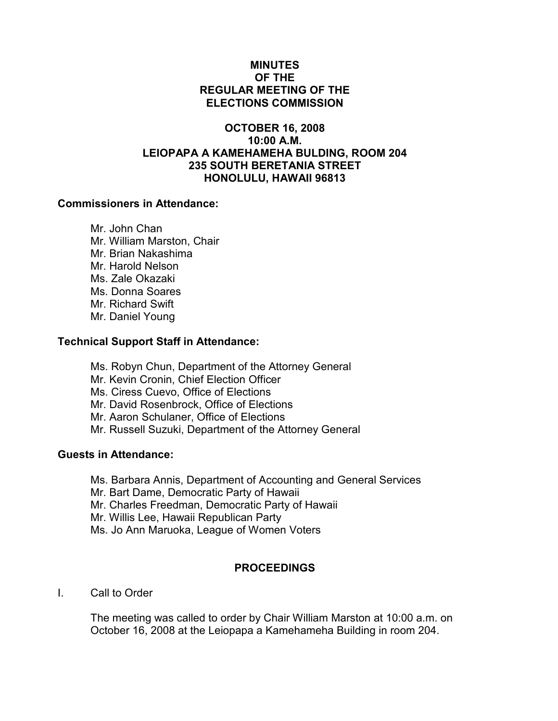## MINUTES OF THE REGULAR MEETING OF THE ELECTIONS COMMISSION

## OCTOBER 16, 2008 10:00 A.M. LEIOPAPA A KAMEHAMEHA BULDING, ROOM 204 235 SOUTH BERETANIA STREET HONOLULU, HAWAII 96813

#### Commissioners in Attendance:

 Mr. John Chan Mr. William Marston, Chair Mr. Brian Nakashima Mr. Harold Nelson Ms. Zale Okazaki Ms. Donna Soares Mr. Richard Swift Mr. Daniel Young

### Technical Support Staff in Attendance:

- Ms. Robyn Chun, Department of the Attorney General Mr. Kevin Cronin, Chief Election Officer Ms. Ciress Cuevo, Office of Elections
- Mr. David Rosenbrock, Office of Elections
- Mr. Aaron Schulaner, Office of Elections
- Mr. Russell Suzuki, Department of the Attorney General

## Guests in Attendance:

- Ms. Barbara Annis, Department of Accounting and General Services
- Mr. Bart Dame, Democratic Party of Hawaii
- Mr. Charles Freedman, Democratic Party of Hawaii
- Mr. Willis Lee, Hawaii Republican Party
- Ms. Jo Ann Maruoka, League of Women Voters

# PROCEEDINGS

I. Call to Order

The meeting was called to order by Chair William Marston at 10:00 a.m. on October 16, 2008 at the Leiopapa a Kamehameha Building in room 204.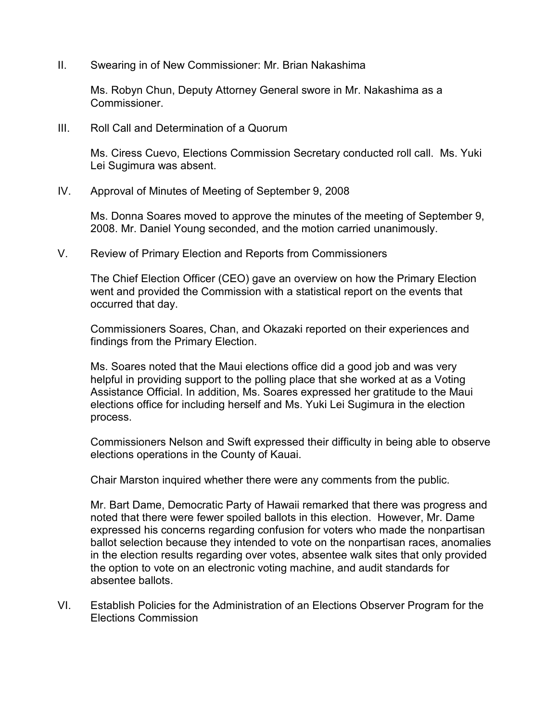II. Swearing in of New Commissioner: Mr. Brian Nakashima

Ms. Robyn Chun, Deputy Attorney General swore in Mr. Nakashima as a Commissioner.

III. Roll Call and Determination of a Quorum

Ms. Ciress Cuevo, Elections Commission Secretary conducted roll call. Ms. Yuki Lei Sugimura was absent.

IV. Approval of Minutes of Meeting of September 9, 2008

Ms. Donna Soares moved to approve the minutes of the meeting of September 9, 2008. Mr. Daniel Young seconded, and the motion carried unanimously.

V. Review of Primary Election and Reports from Commissioners

The Chief Election Officer (CEO) gave an overview on how the Primary Election went and provided the Commission with a statistical report on the events that occurred that day.

Commissioners Soares, Chan, and Okazaki reported on their experiences and findings from the Primary Election.

Ms. Soares noted that the Maui elections office did a good job and was very helpful in providing support to the polling place that she worked at as a Voting Assistance Official. In addition, Ms. Soares expressed her gratitude to the Maui elections office for including herself and Ms. Yuki Lei Sugimura in the election process.

Commissioners Nelson and Swift expressed their difficulty in being able to observe elections operations in the County of Kauai.

Chair Marston inquired whether there were any comments from the public.

Mr. Bart Dame, Democratic Party of Hawaii remarked that there was progress and noted that there were fewer spoiled ballots in this election. However, Mr. Dame expressed his concerns regarding confusion for voters who made the nonpartisan ballot selection because they intended to vote on the nonpartisan races, anomalies in the election results regarding over votes, absentee walk sites that only provided the option to vote on an electronic voting machine, and audit standards for absentee ballots.

VI. Establish Policies for the Administration of an Elections Observer Program for the Elections Commission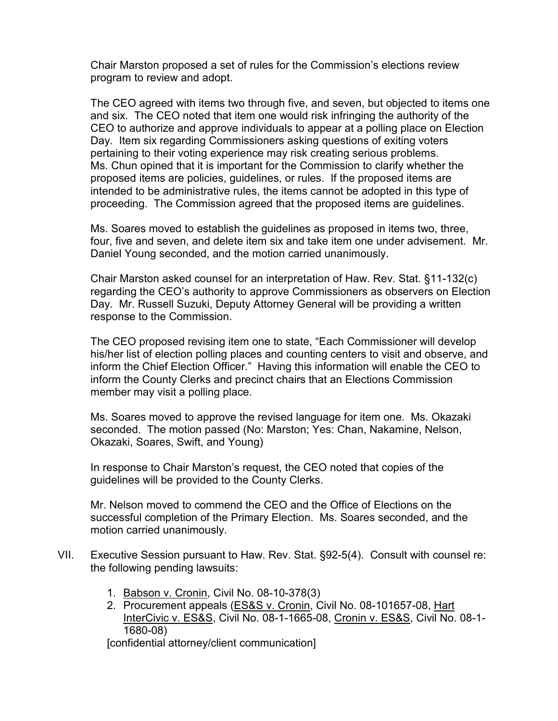Chair Marston proposed a set of rules for the Commission's elections review program to review and adopt.

The CEO agreed with items two through five, and seven, but objected to items one and six. The CEO noted that item one would risk infringing the authority of the CEO to authorize and approve individuals to appear at a polling place on Election Day. Item six regarding Commissioners asking questions of exiting voters pertaining to their voting experience may risk creating serious problems. Ms. Chun opined that it is important for the Commission to clarify whether the proposed items are policies, guidelines, or rules. If the proposed items are intended to be administrative rules, the items cannot be adopted in this type of proceeding. The Commission agreed that the proposed items are guidelines.

Ms. Soares moved to establish the guidelines as proposed in items two, three, four, five and seven, and delete item six and take item one under advisement. Mr. Daniel Young seconded, and the motion carried unanimously.

Chair Marston asked counsel for an interpretation of Haw. Rev. Stat. §11-132(c) regarding the CEO's authority to approve Commissioners as observers on Election Day. Mr. Russell Suzuki, Deputy Attorney General will be providing a written response to the Commission.

The CEO proposed revising item one to state, "Each Commissioner will develop his/her list of election polling places and counting centers to visit and observe, and inform the Chief Election Officer." Having this information will enable the CEO to inform the County Clerks and precinct chairs that an Elections Commission member may visit a polling place.

Ms. Soares moved to approve the revised language for item one. Ms. Okazaki seconded. The motion passed (No: Marston; Yes: Chan, Nakamine, Nelson, Okazaki, Soares, Swift, and Young)

In response to Chair Marston's request, the CEO noted that copies of the guidelines will be provided to the County Clerks.

Mr. Nelson moved to commend the CEO and the Office of Elections on the successful completion of the Primary Election. Ms. Soares seconded, and the motion carried unanimously.

- VII. Executive Session pursuant to Haw. Rev. Stat. §92-5(4). Consult with counsel re: the following pending lawsuits:
	- 1. Babson v. Cronin, Civil No. 08-10-378(3)
	- 2. Procurement appeals (ES&S v. Cronin, Civil No. 08-101657-08, Hart InterCivic v. ES&S, Civil No. 08-1-1665-08, Cronin v. ES&S, Civil No. 08-1- 1680-08)

[confidential attorney/client communication]